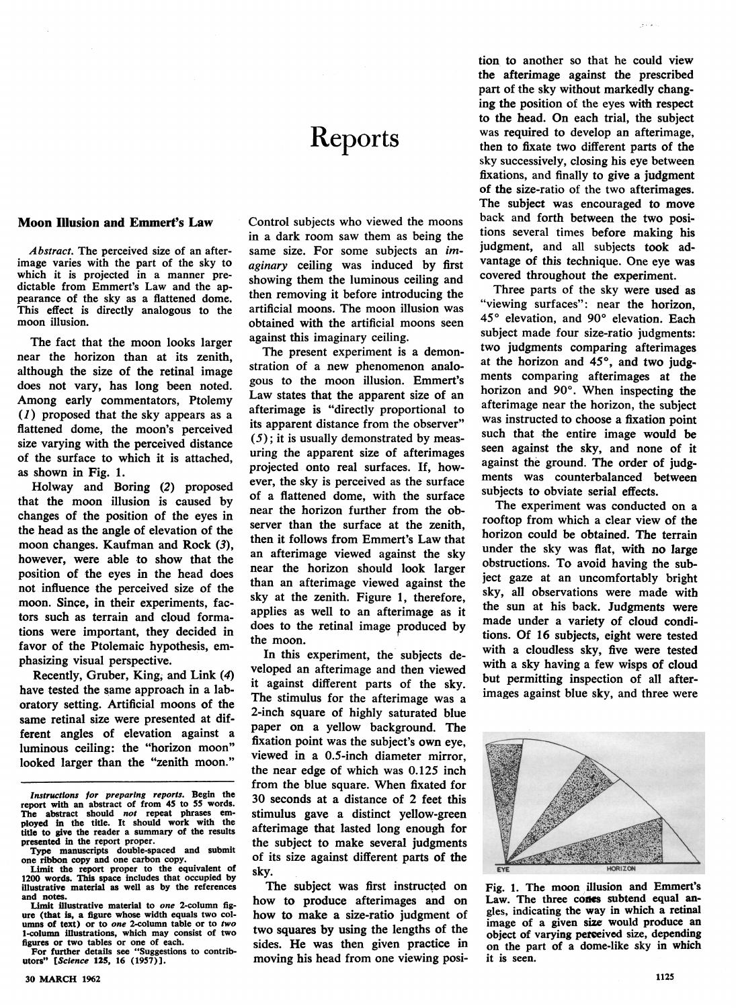# Reports

### Moon Illusion and Emmert's Law

Abstract. The perceived size of an afterimage varies with the part of the sky to which it is projected in a manner predictable from Emmert's Law and the appearance of the sky as a flattened dome. This effect is directly analogous to the moon illusion.

The fact that the moon looks larger near the horizon than at its zenith, although the size of the retinal image does not vary, has long been noted. Among early commentators, Ptolemy (1) proposed that the sky appears as a flattened dome, the moon's perceived size varying with the perceived distance of the surface to which it is attached, as shown in Fig. 1.

Holway and Boring (2) proposed that the moon illusion is caused by changes of the position of the eyes in the head as the angle of elevation of the moon changes. Kaufman and Rock (3), however, were able to show that the position of the eyes in the head does not influence the perceived size of the moon. Since, in their experiments, factors such as terrain and cloud formations were important, they decided in favor of the Ptolemaic hypothesis, emphasizing visual perspective.

Recently, Gruber, King, and Link (4) have tested the same approach in a laboratory setting. Artificial moons of the same retinal size were presented at different angles of elevation against a luminous ceiling: the "horizon moon" looked larger than the "zenith moon."

For further details see "Suggestions to contributors" [Science 125, 16 (1957)].

Control subjects who viewed the moons in a dark room saw them as being the same size. For some subjects an imaginary ceiling was induced by first showing them the luminous ceiling and then removing it before introducing the artificial moons. The moon illusion was obtained with the artificial moons seen against this imaginary ceiling.

The present experiment is a demonstration of a new phenomenon analogous to the moon illusion. Emmert's Law states that the apparent size of an afterimage is "directly proportional to its apparent distance from the observer"  $(5)$ ; it is usually demonstrated by measuring the apparent size of afterimages projected onto real surfaces. If, however, the sky is perceived as the surface of a flattened dome, with the surface near the horizon further from the observer than the surface at the zenith, then it follows from Emmert's Law that an afterimage viewed against the sky near the horizon should look larger than an afterimage viewed against the sky at the zenith. Figure 1, therefore, applies as well to an afterimage as it does to the retinal image produced by the moon.

In this experiment, the subjects developed an afterimage and then viewed it against different parts of the sky. The stimulus for the afterimage was a 2-inch square of highly saturated blue paper on a yellow background. The fixation point was the subject's own eye, viewed in a 0.5-inch diameter mirror, the near edge of which was 0.125 inch from the blue square. When fixated for 30 seconds at a distance of 2 feet this stimulus gave a distinct yellow-green afterimage that lasted long enough for the subject to make several judgments of its size against different parts of the sky.

The subject was first instructed on how to produce afterimages and on how to make a size-ratio judgment of two squares by using the lengths of the sides. He was then given practice in moving his head from one viewing position to another so that he could view the afterimage against the prescribed part of the sky without markedly changing the position of the eyes with respect to the head. On each trial, the subject was required to develop an afterimage, then to fixate two different parts of the sky successively, closing his eye between fixations, and finally to give a judgment of the size-ratio of the two afterimages. The subject was encouraged to move back and forth between the two positions several times before making his judgment, and all subjects took advantage of this technique. One eye was covered throughout the experiment.

Three parts of the sky were used as "viewing surfaces": near the horizon, 45° elevation, and 90° elevation. Each subject made four size-ratio judgments: two judgments comparing afterimages at the horizon and 45°, and two judgments comparing afterimages at the horizon and 90°. When inspecting the afterimage near the horizon, the subject was instructed to choose a fixation point such that the entire image would be seen against the sky, and none of it against the ground. The order of judgments was counterbalanced between subjects to obviate serial effects.

The experiment was conducted on a rooftop from which a clear view of the horizon could be obtained. The terrain under the sky was fiat, with no large obstructions. To avoid having the subject gaze at an uncomfortably bright sky, all observations were made with the sun at his back. Judgments were made under a variety of cloud conditions. Of 16 subjects, eight were tested with a cloudless sky, five were tested with a sky having a few wisps of cloud but permitting inspection of all afterimages against blue sky, and three were



Fig. 1. The moon illusion and Emmert's Law. The three cones subtend equal angles, indicating the way in which a retinal image of a given size would produce an object of varying pereived size, depending on the part of a dome-like sky in which it is seen.

Instructions for preparing reports. Begin the report with an abstract of from 45 to 55 words. The abstract should *not* repeat phrases em-<br>ployed in the title. It should work with the title to give the reader a summary of the results presented in the report proper.

Type manuscripts double-spaced and submit one ribbon copy and one carbon copy.

Limit the report proper to the equivalent of 1200 words. This space includes that occupied by illustrative material as well as by the references and notes

Limit illustrative material to one 2-column figure (that is, a figure whose width equals two columns of text) or to one 2-column table or to two 1-column illustrations, which may consist of two figures or two tables or one of each.